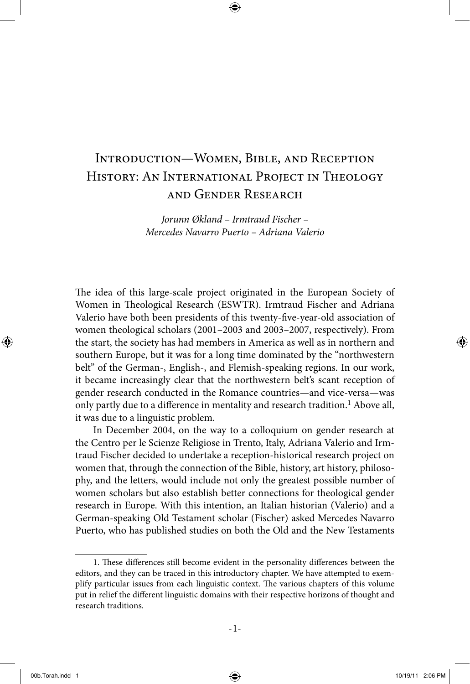# Introduction—Women, Bible, and Reception History: An International Project in Theology and Gender Research

⊕

*Jorunn Økland – Irmtraud Fischer – Mercedes Navarro Puerto – Adriana Valerio*

The idea of this large-scale project originated in the European Society of Women in Theological Research (ESWTR). Irmtraud Fischer and Adriana Valerio have both been presidents of this twenty-five-year-old association of women theological scholars (2001–2003 and 2003–2007, respectively). From the start, the society has had members in America as well as in northern and southern Europe, but it was for a long time dominated by the "northwestern belt" of the German-, English-, and Flemish-speaking regions. In our work, it became increasingly clear that the northwestern belt's scant reception of gender research conducted in the Romance countries—and vice-versa—was only partly due to a difference in mentality and research tradition.<sup>1</sup> Above all, it was due to a linguistic problem.

In December 2004, on the way to a colloquium on gender research at the Centro per le Scienze Religiose in Trento, Italy, Adriana Valerio and Irmtraud Fischer decided to undertake a reception-historical research project on women that, through the connection of the Bible, history, art history, philosophy, and the letters, would include not only the greatest possible number of women scholars but also establish better connections for theological gender research in Europe. With this intention, an Italian historian (Valerio) and a German-speaking Old Testament scholar (Fischer) asked Mercedes Navarro Puerto, who has published studies on both the Old and the New Testaments

⊕

<sup>1.</sup> These differences still become evident in the personality differences between the editors, and they can be traced in this introductory chapter. We have attempted to exemplify particular issues from each linguistic context. The various chapters of this volume put in relief the different linguistic domains with their respective horizons of thought and research traditions.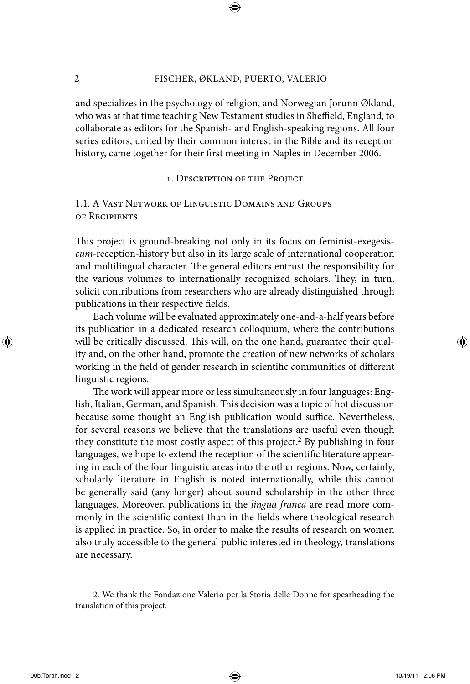⊕

and specializes in the psychology of religion, and Norwegian Jorunn Økland, who was at that time teaching New Testament studies in Sheffield, England, to collaborate as editors for the Spanish- and English-speaking regions. All four series editors, united by their common interest in the Bible and its reception history, came together for their first meeting in Naples in December 2006.

1. Description of the Project

# 1.1. A Vast Network of Linguistic Domains and Groups of Recipients

This project is ground-breaking not only in its focus on feminist-exegesis*cum-*reception-history but also in its large scale of international cooperation and multilingual character. The general editors entrust the responsibility for the various volumes to internationally recognized scholars. They, in turn, solicit contributions from researchers who are already distinguished through publications in their respective fields.

Each volume will be evaluated approximately one-and-a-half years before its publication in a dedicated research colloquium, where the contributions will be critically discussed. This will, on the one hand, guarantee their quality and, on the other hand, promote the creation of new networks of scholars working in the field of gender research in scientific communities of different linguistic regions.

The work will appear more or less simultaneously in four languages: English, Italian, German, and Spanish. This decision was a topic of hot discussion because some thought an English publication would suffice. Nevertheless, for several reasons we believe that the translations are useful even though they constitute the most costly aspect of this project.2 By publishing in four languages, we hope to extend the reception of the scientific literature appearing in each of the four linguistic areas into the other regions. Now, certainly, scholarly literature in English is noted internationally, while this cannot be generally said (any longer) about sound scholarship in the other three languages. Moreover, publications in the *lingua franca* are read more commonly in the scientific context than in the fields where theological research is applied in practice. So, in order to make the results of research on women also truly accessible to the general public interested in theology, translations are necessary.

 $\bigoplus$ 

<sup>2.</sup> We thank the Fondazione Valerio per la Storia delle Donne for spearheading the translation of this project.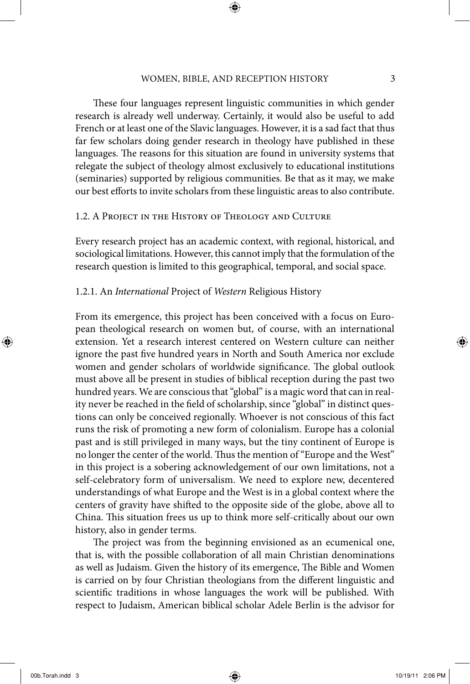⊕

These four languages represent linguistic communities in which gender research is already well underway. Certainly, it would also be useful to add French or at least one of the Slavic languages. However, it is a sad fact that thus far few scholars doing gender research in theology have published in these languages. The reasons for this situation are found in university systems that relegate the subject of theology almost exclusively to educational institutions (seminaries) supported by religious communities. Be that as it may, we make our best efforts to invite scholars from these linguistic areas to also contribute.

## 1.2. A Project in the History of Theology and Culture

Every research project has an academic context, with regional, historical, and sociological limitations. However, this cannot imply that the formulation of the research question is limited to this geographical, temporal, and social space.

#### 1.2.1. An *International* Project of *Western* Religious History

From its emergence, this project has been conceived with a focus on European theological research on women but, of course, with an international extension. Yet a research interest centered on Western culture can neither ignore the past five hundred years in North and South America nor exclude women and gender scholars of worldwide significance. The global outlook must above all be present in studies of biblical reception during the past two hundred years. We are conscious that "global" is a magic word that can in reality never be reached in the field of scholarship, since "global" in distinct questions can only be conceived regionally. Whoever is not conscious of this fact runs the risk of promoting a new form of colonialism. Europe has a colonial past and is still privileged in many ways, but the tiny continent of Europe is no longer the center of the world. Thus the mention of "Europe and the West" in this project is a sobering acknowledgement of our own limitations, not a self-celebratory form of universalism. We need to explore new, decentered understandings of what Europe and the West is in a global context where the centers of gravity have shifted to the opposite side of the globe, above all to China. This situation frees us up to think more self-critically about our own history, also in gender terms.

The project was from the beginning envisioned as an ecumenical one, that is, with the possible collaboration of all main Christian denominations as well as Judaism. Given the history of its emergence, The Bible and Women is carried on by four Christian theologians from the different linguistic and scientific traditions in whose languages the work will be published. With respect to Judaism, American biblical scholar Adele Berlin is the advisor for

⊕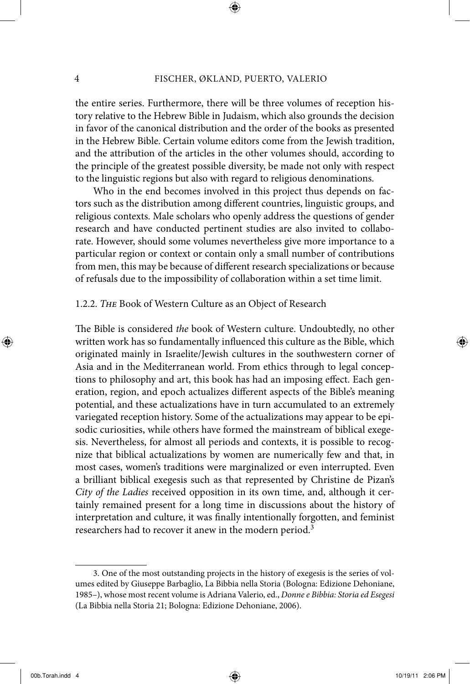the entire series. Furthermore, there will be three volumes of reception history relative to the Hebrew Bible in Judaism, which also grounds the decision in favor of the canonical distribution and the order of the books as presented in the Hebrew Bible. Certain volume editors come from the Jewish tradition, and the attribution of the articles in the other volumes should, according to the principle of the greatest possible diversity, be made not only with respect to the linguistic regions but also with regard to religious denominations.

Who in the end becomes involved in this project thus depends on factors such as the distribution among different countries, linguistic groups, and religious contexts. Male scholars who openly address the questions of gender research and have conducted pertinent studies are also invited to collaborate. However, should some volumes nevertheless give more importance to a particular region or context or contain only a small number of contributions from men, this may be because of different research specializations or because of refusals due to the impossibility of collaboration within a set time limit.

## 1.2.2. *The* Book of Western Culture as an Object of Research

The Bible is considered *the* book of Western culture. Undoubtedly, no other written work has so fundamentally influenced this culture as the Bible, which originated mainly in Israelite/Jewish cultures in the southwestern corner of Asia and in the Mediterranean world. From ethics through to legal conceptions to philosophy and art, this book has had an imposing effect. Each generation, region, and epoch actualizes different aspects of the Bible's meaning potential, and these actualizations have in turn accumulated to an extremely variegated reception history. Some of the actualizations may appear to be episodic curiosities, while others have formed the mainstream of biblical exegesis. Nevertheless, for almost all periods and contexts, it is possible to recognize that biblical actualizations by women are numerically few and that, in most cases, women's traditions were marginalized or even interrupted. Even a brilliant biblical exegesis such as that represented by Christine de Pizan's *City of the Ladies* received opposition in its own time, and, although it certainly remained present for a long time in discussions about the history of interpretation and culture, it was finally intentionally forgotten, and feminist researchers had to recover it anew in the modern period.3

<sup>3.</sup> One of the most outstanding projects in the history of exegesis is the series of volumes edited by Giuseppe Barbaglio, La Bibbia nella Storia (Bologna: Edizione Dehoniane, 1985–), whose most recent volume is Adriana Valerio, ed., *Donne e Bibbia: Storia ed Esegesi* (La Bibbia nella Storia 21; Bologna: Edizione Dehoniane, 2006).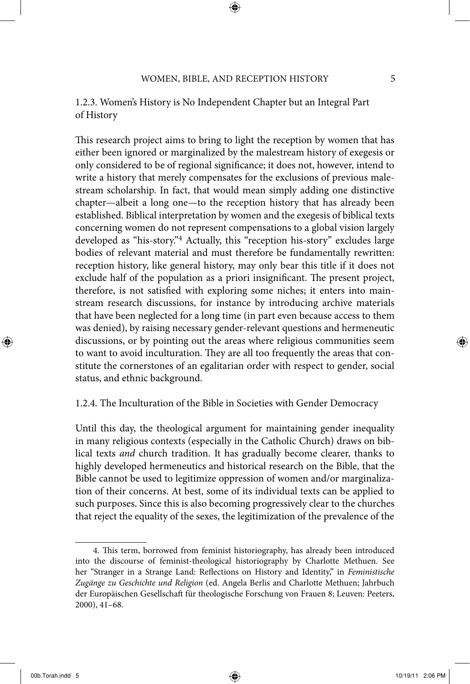⊕

1.2.3. Women's History is No Independent Chapter but an Integral Part of History

This research project aims to bring to light the reception by women that has either been ignored or marginalized by the malestream history of exegesis or only considered to be of regional significance; it does not, however, intend to write a history that merely compensates for the exclusions of previous malestream scholarship. In fact, that would mean simply adding one distinctive chapter—albeit a long one—to the reception history that has already been established. Biblical interpretation by women and the exegesis of biblical texts concerning women do not represent compensations to a global vision largely developed as "his-story."4 Actually, this "reception his-story" excludes large bodies of relevant material and must therefore be fundamentally rewritten: reception history, like general history, may only bear this title if it does not exclude half of the population as a priori insignificant. The present project, therefore, is not satisfied with exploring some niches; it enters into mainstream research discussions, for instance by introducing archive materials that have been neglected for a long time (in part even because access to them was denied), by raising necessary gender-relevant questions and hermeneutic discussions, or by pointing out the areas where religious communities seem to want to avoid inculturation. They are all too frequently the areas that constitute the cornerstones of an egalitarian order with respect to gender, social status, and ethnic background.

#### 1.2.4. The Inculturation of the Bible in Societies with Gender Democracy

Until this day, the theological argument for maintaining gender inequality in many religious contexts (especially in the Catholic Church) draws on biblical texts *and* church tradition. It has gradually become clearer, thanks to highly developed hermeneutics and historical research on the Bible, that the Bible cannot be used to legitimize oppression of women and/or marginalization of their concerns. At best, some of its individual texts can be applied to such purposes. Since this is also becoming progressively clear to the churches that reject the equality of the sexes, the legitimization of the prevalence of the

⊕

<sup>4.</sup> This term, borrowed from feminist historiography, has already been introduced into the discourse of feminist-theological historiography by Charlotte Methuen. See her "Stranger in a Strange Land: Reflections on History and Identity," in *Feministische Zugänge zu Geschichte und Religion* (ed. Angela Berlis and Charlotte Methuen; Jahrbuch der Europäischen Gesellschaft für theologische Forschung von Frauen 8; Leuven: Peeters, 2000), 41–68.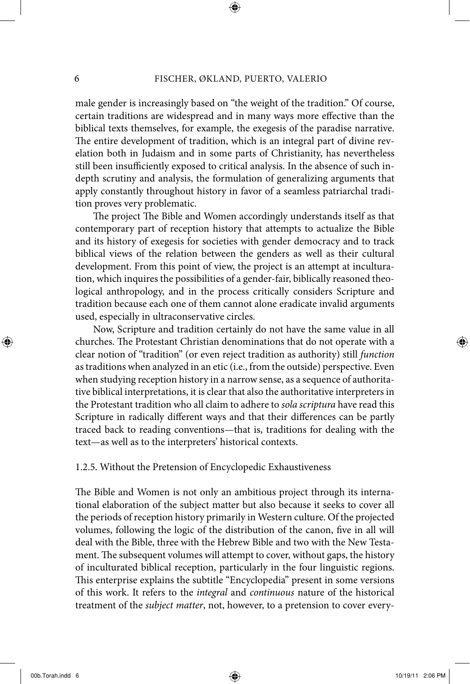⊕

male gender is increasingly based on "the weight of the tradition." Of course, certain traditions are widespread and in many ways more effective than the biblical texts themselves, for example, the exegesis of the paradise narrative. The entire development of tradition, which is an integral part of divine revelation both in Judaism and in some parts of Christianity, has nevertheless still been insufficiently exposed to critical analysis. In the absence of such indepth scrutiny and analysis, the formulation of generalizing arguments that apply constantly throughout history in favor of a seamless patriarchal tradition proves very problematic.

The project The Bible and Women accordingly understands itself as that contemporary part of reception history that attempts to actualize the Bible and its history of exegesis for societies with gender democracy and to track biblical views of the relation between the genders as well as their cultural development. From this point of view, the project is an attempt at inculturation, which inquires the possibilities of a gender-fair, biblically reasoned theological anthropology, and in the process critically considers Scripture and tradition because each one of them cannot alone eradicate invalid arguments used, especially in ultraconservative circles.

Now, Scripture and tradition certainly do not have the same value in all churches. The Protestant Christian denominations that do not operate with a clear notion of "tradition" (or even reject tradition as authority) still *function*  as traditions when analyzed in an etic (i.e., from the outside) perspective. Even when studying reception history in a narrow sense, as a sequence of authoritative biblical interpretations, it is clear that also the authoritative interpreters in the Protestant tradition who all claim to adhere to *sola scriptura* have read this Scripture in radically different ways and that their differences can be partly traced back to reading conventions—that is, traditions for dealing with the text—as well as to the interpreters' historical contexts.

#### 1.2.5. Without the Pretension of Encyclopedic Exhaustiveness

The Bible and Women is not only an ambitious project through its international elaboration of the subject matter but also because it seeks to cover all the periods of reception history primarily in Western culture. Of the projected volumes, following the logic of the distribution of the canon, five in all will deal with the Bible, three with the Hebrew Bible and two with the New Testament. The subsequent volumes will attempt to cover, without gaps, the history of inculturated biblical reception, particularly in the four linguistic regions. This enterprise explains the subtitle "Encyclopedia" present in some versions of this work. It refers to the *integral* and *continuous* nature of the historical treatment of the *subject matter*, not, however, to a pretension to cover every-

⊕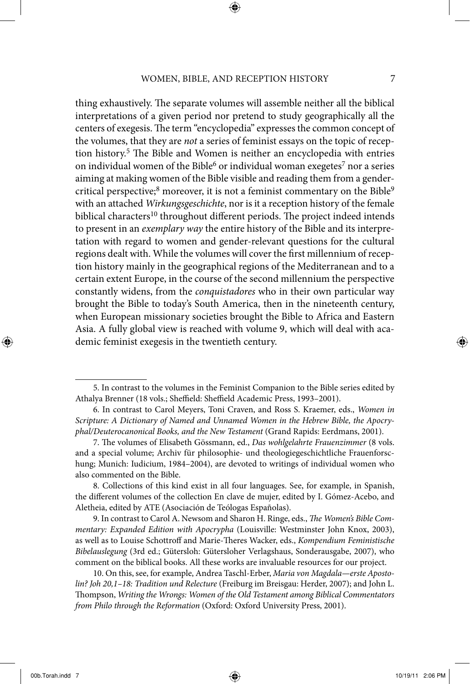thing exhaustively. The separate volumes will assemble neither all the biblical interpretations of a given period nor pretend to study geographically all the centers of exegesis. The term "encyclopedia" expresses the common concept of the volumes, that they are *not* a series of feminist essays on the topic of reception history.5 The Bible and Women is neither an encyclopedia with entries on individual women of the Bible<sup>6</sup> or individual woman exegetes<sup>7</sup> nor a series aiming at making women of the Bible visible and reading them from a gendercritical perspective;<sup>8</sup> moreover, it is not a feminist commentary on the Bible<sup>9</sup> with an attached *Wirkungsgeschichte*, nor is it a reception history of the female biblical characters<sup>10</sup> throughout different periods. The project indeed intends to present in an *exemplary way* the entire history of the Bible and its interpretation with regard to women and gender-relevant questions for the cultural regions dealt with. While the volumes will cover the first millennium of reception history mainly in the geographical regions of the Mediterranean and to a certain extent Europe, in the course of the second millennium the perspective constantly widens, from the *conquistadores* who in their own particular way brought the Bible to today's South America, then in the nineteenth century, when European missionary societies brought the Bible to Africa and Eastern Asia. A fully global view is reached with volume 9, which will deal with academic feminist exegesis in the twentieth century.

8. Collections of this kind exist in all four languages. See, for example, in Spanish, the different volumes of the collection En clave de mujer, edited by I. Gómez-Acebo, and Aletheia, edited by ATE (Asociación de Teólogas Españolas).

9. In contrast to Carol A. Newsom and Sharon H. Ringe, eds., *The Women's Bible Commentary: Expanded Edition with Apocrypha* (Louisville: Westminster John Knox, 2003), as well as to Louise Schottroff and Marie-Theres Wacker, eds., *Kompendium Feministische Bibelauslegung* (3rd ed.; Gütersloh: Gütersloher Verlagshaus, Sonderausgabe, 2007), who comment on the biblical books. All these works are invaluable resources for our project.

10. On this, see, for example, Andrea Taschl-Erber, *Maria von Magdala—erste Apostolin? Joh 20,1–18: Tradition und Relecture* (Freiburg im Breisgau: Herder, 2007); and John L. Thompson, *Writing the Wrongs: Women of the Old Testament among Biblical Commentators from Philo through the Reformation* (Oxford: Oxford University Press, 2001).

00b.Torah.indd 7 10/19/11 2:06 PM 00b.Torah.indd 7

⊕

<sup>5.</sup> In contrast to the volumes in the Feminist Companion to the Bible series edited by Athalya Brenner (18 vols.; Sheffield: Sheffield Academic Press, 1993–2001).

<sup>6.</sup> In contrast to Carol Meyers, Toni Craven, and Ross S. Kraemer, eds., *Women in Scripture: A Dictionary of Named and Unnamed Women in the Hebrew Bible, the Apocryphal/Deuterocanonical Books, and the New Testament* (Grand Rapids: Eerdmans, 2001).

<sup>7.</sup> The volumes of Elisabeth Gössmann, ed., *Das wohlgelahrte Frauenzimmer* (8 vols. and a special volume; Archiv für philosophie- und theologiegeschichtliche Frauenforschung; Munich: Iudicium, 1984–2004), are devoted to writings of individual women who also commented on the Bible.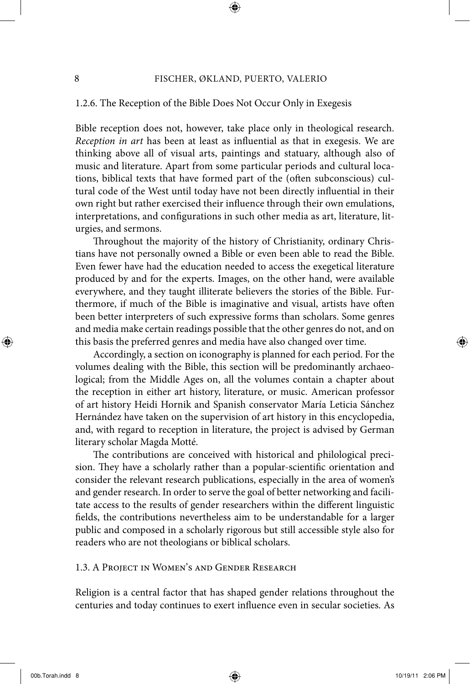⊕

#### 1.2.6. The Reception of the Bible Does Not Occur Only in Exegesis

Bible reception does not, however, take place only in theological research. *Reception in art* has been at least as influential as that in exegesis. We are thinking above all of visual arts, paintings and statuary, although also of music and literature. Apart from some particular periods and cultural locations, biblical texts that have formed part of the (often subconscious) cultural code of the West until today have not been directly influential in their own right but rather exercised their influence through their own emulations, interpretations, and configurations in such other media as art, literature, liturgies, and sermons.

Throughout the majority of the history of Christianity, ordinary Christians have not personally owned a Bible or even been able to read the Bible. Even fewer have had the education needed to access the exegetical literature produced by and for the experts. Images, on the other hand, were available everywhere, and they taught illiterate believers the stories of the Bible. Furthermore, if much of the Bible is imaginative and visual, artists have often been better interpreters of such expressive forms than scholars. Some genres and media make certain readings possible that the other genres do not, and on this basis the preferred genres and media have also changed over time.

Accordingly, a section on iconography is planned for each period. For the volumes dealing with the Bible, this section will be predominantly archaeological; from the Middle Ages on, all the volumes contain a chapter about the reception in either art history, literature, or music. American professor of art history Heidi Hornik and Spanish conservator María Leticia Sánchez Hernández have taken on the supervision of art history in this encyclopedia, and, with regard to reception in literature, the project is advised by German literary scholar Magda Motté.

The contributions are conceived with historical and philological precision. They have a scholarly rather than a popular-scientific orientation and consider the relevant research publications, especially in the area of women's and gender research. In order to serve the goal of better networking and facilitate access to the results of gender researchers within the different linguistic fields, the contributions nevertheless aim to be understandable for a larger public and composed in a scholarly rigorous but still accessible style also for readers who are not theologians or biblical scholars.

#### 1.3. A Project in Women's and Gender Research

Religion is a central factor that has shaped gender relations throughout the centuries and today continues to exert influence even in secular societies. As

⊕

↔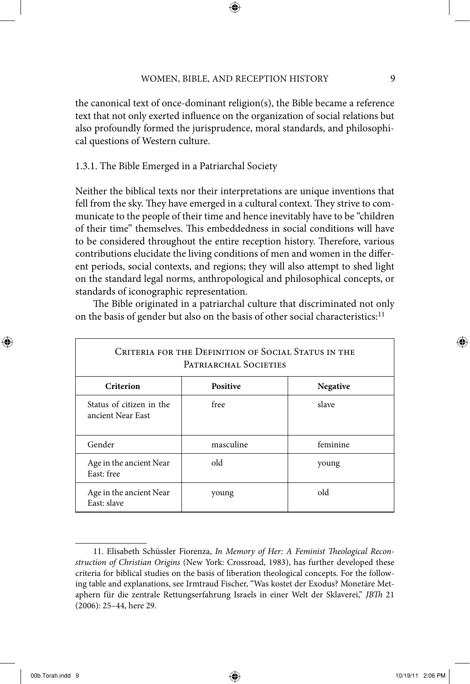⊕

the canonical text of once-dominant religion(s), the Bible became a reference text that not only exerted influence on the organization of social relations but also profoundly formed the jurisprudence, moral standards, and philosophical questions of Western culture.

1.3.1. The Bible Emerged in a Patriarchal Society

Neither the biblical texts nor their interpretations are unique inventions that fell from the sky. They have emerged in a cultural context. They strive to communicate to the people of their time and hence inevitably have to be "children of their time" themselves. This embeddedness in social conditions will have to be considered throughout the entire reception history. Therefore, various contributions elucidate the living conditions of men and women in the different periods, social contexts, and regions; they will also attempt to shed light on the standard legal norms, anthropological and philosophical concepts, or standards of iconographic representation.

The Bible originated in a patriarchal culture that discriminated not only on the basis of gender but also on the basis of other social characteristics:<sup>11</sup>

| CRITERIA FOR THE DEFINITION OF SOCIAL STATUS IN THE<br>PATRIARCHAL SOCIETIES |                 |                 |  |
|------------------------------------------------------------------------------|-----------------|-----------------|--|
| Criterion                                                                    | <b>Positive</b> | <b>Negative</b> |  |
| Status of citizen in the<br>ancient Near East                                | free            | slave           |  |
| Gender                                                                       | masculine       | feminine        |  |
| Age in the ancient Near<br>East: free                                        | old             | young           |  |
| Age in the ancient Near<br>East: slave                                       | young           | old             |  |

<sup>11.</sup> Elisabeth Schüssler Fiorenza, *In Memory of Her: A Feminist Theological Reconstruction of Christian Origins* (New York: Crossroad, 1983), has further developed these criteria for biblical studies on the basis of liberation theological concepts. For the following table and explanations, see Irmtraud Fischer, "Was kostet der Exodus? Monetäre Metaphern für die zentrale Rettungserfahrung Israels in einer Welt der Sklaverei," *JBTh* 21 (2006): 25–44, here 29.

⊕

00b.Torah.indd 9 10/19/11 2:06 PM 00b.Torah.indd 9 10/19/11 2:06 PM

↔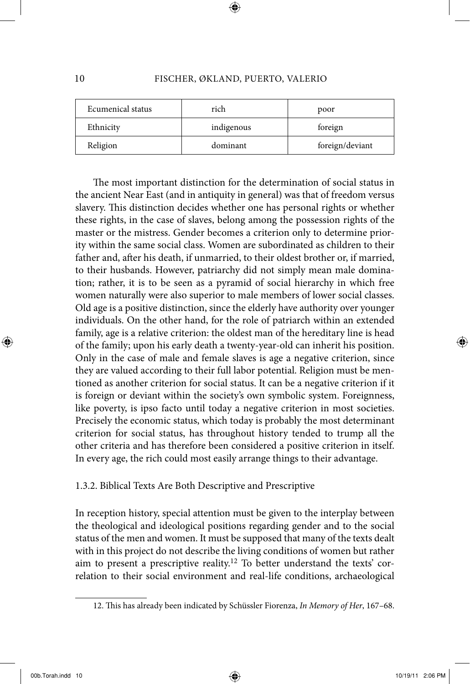⊕

| Ecumenical status | rich       | poor            |
|-------------------|------------|-----------------|
| Ethnicity         | indigenous | foreign         |
| Religion          | dominant   | foreign/deviant |

The most important distinction for the determination of social status in the ancient Near East (and in antiquity in general) was that of freedom versus slavery. This distinction decides whether one has personal rights or whether these rights, in the case of slaves, belong among the possession rights of the master or the mistress. Gender becomes a criterion only to determine priority within the same social class. Women are subordinated as children to their father and, after his death, if unmarried, to their oldest brother or, if married, to their husbands. However, patriarchy did not simply mean male domination; rather, it is to be seen as a pyramid of social hierarchy in which free women naturally were also superior to male members of lower social classes. Old age is a positive distinction, since the elderly have authority over younger individuals. On the other hand, for the role of patriarch within an extended family, age is a relative criterion: the oldest man of the hereditary line is head of the family; upon his early death a twenty-year-old can inherit his position. Only in the case of male and female slaves is age a negative criterion, since they are valued according to their full labor potential. Religion must be mentioned as another criterion for social status. It can be a negative criterion if it is foreign or deviant within the society's own symbolic system. Foreignness, like poverty, is ipso facto until today a negative criterion in most societies. Precisely the economic status, which today is probably the most determinant criterion for social status, has throughout history tended to trump all the other criteria and has therefore been considered a positive criterion in itself. In every age, the rich could most easily arrange things to their advantage.

#### 1.3.2. Biblical Texts Are Both Descriptive and Prescriptive

In reception history, special attention must be given to the interplay between the theological and ideological positions regarding gender and to the social status of the men and women. It must be supposed that many of the texts dealt with in this project do not describe the living conditions of women but rather aim to present a prescriptive reality.12 To better understand the texts' correlation to their social environment and real-life conditions, archaeological

<sup>12.</sup> This has already been indicated by Schüssler Fiorenza, *In Memory of Her*, 167–68.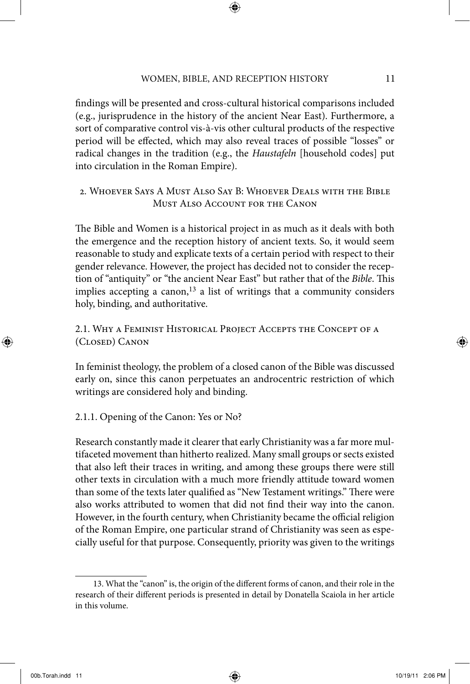⊕

findings will be presented and cross-cultural historical comparisons included (e.g., jurisprudence in the history of the ancient Near East). Furthermore, a sort of comparative control vis-à-vis other cultural products of the respective period will be effected, which may also reveal traces of possible "losses" or radical changes in the tradition (e.g., the *Haustafeln* [household codes] put into circulation in the Roman Empire).

# 2*.* Whoever Says A Must Also Say B: Whoever Deals with the Bible Must Also Account for the Canon

The Bible and Women is a historical project in as much as it deals with both the emergence and the reception history of ancient texts. So, it would seem reasonable to study and explicate texts of a certain period with respect to their gender relevance. However, the project has decided not to consider the reception of "antiquity" or "the ancient Near East" but rather that of the *Bible*. This implies accepting a canon,<sup>13</sup> a list of writings that a community considers holy, binding, and authoritative.

# 2.1. Why a Feminist Historical Project Accepts the Concept of a (Closed) Canon

In feminist theology, the problem of a closed canon of the Bible was discussed early on, since this canon perpetuates an androcentric restriction of which writings are considered holy and binding.

## 2.1.1. Opening of the Canon: Yes or No?

Research constantly made it clearer that early Christianity was a far more multifaceted movement than hitherto realized. Many small groups or sects existed that also left their traces in writing, and among these groups there were still other texts in circulation with a much more friendly attitude toward women than some of the texts later qualified as "New Testament writings." There were also works attributed to women that did not find their way into the canon. However, in the fourth century, when Christianity became the official religion of the Roman Empire, one particular strand of Christianity was seen as especially useful for that purpose. Consequently, priority was given to the writings

 $\bigoplus$ 

↔

<sup>13.</sup> What the "canon" is, the origin of the different forms of canon, and their role in the research of their different periods is presented in detail by Donatella Scaiola in her article in this volume.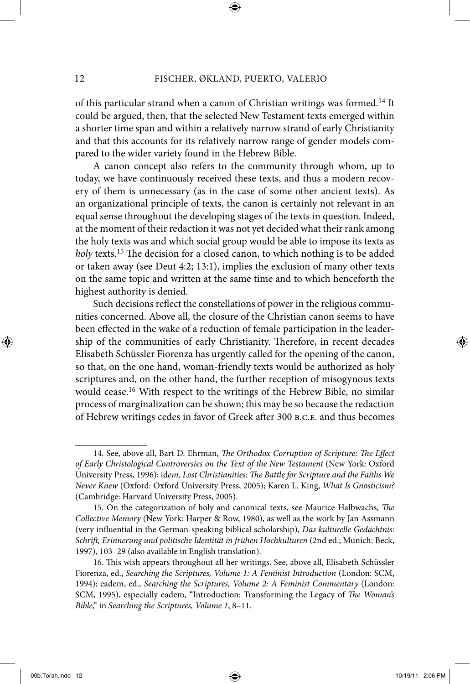of this particular strand when a canon of Christian writings was formed.<sup>14</sup> It could be argued, then, that the selected New Testament texts emerged within a shorter time span and within a relatively narrow strand of early Christianity and that this accounts for its relatively narrow range of gender models compared to the wider variety found in the Hebrew Bible.

A canon concept also refers to the community through whom, up to today, we have continuously received these texts, and thus a modern recovery of them is unnecessary (as in the case of some other ancient texts). As an organizational principle of texts, the canon is certainly not relevant in an equal sense throughout the developing stages of the texts in question. Indeed, at the moment of their redaction it was not yet decided what their rank among the holy texts was and which social group would be able to impose its texts as *holy* texts.<sup>15</sup> The decision for a closed canon, to which nothing is to be added or taken away (see Deut 4:2; 13:1), implies the exclusion of many other texts on the same topic and written at the same time and to which henceforth the highest authority is denied.

Such decisions reflect the constellations of power in the religious communities concerned. Above all, the closure of the Christian canon seems to have been effected in the wake of a reduction of female participation in the leadership of the communities of early Christianity. Therefore, in recent decades Elisabeth Schüssler Fiorenza has urgently called for the opening of the canon, so that, on the one hand, woman-friendly texts would be authorized as holy scriptures and, on the other hand, the further reception of misogynous texts would cease.<sup>16</sup> With respect to the writings of the Hebrew Bible, no similar process of marginalization can be shown; this may be so because the redaction of Hebrew writings cedes in favor of Greek after 300 b.c.e. and thus becomes

⊕

00b.Torah.indd 12 10/19/11 2:06 PM 0/19/11 2:06 PM 0/19/11 2:06 PM 0/19/11 2:06 PM 0/19/11 2:06 PM 0/19/11 2:06 PM 0/19/11 2:06 PM 0/19/11 2:06 PM 0/19/11 2:06 PM 0/19/11 2:06 PM 0/19/11 2:06 PM 0/19/11 2:06 PM 0/19/11 2:0

<sup>14.</sup> See, above all, Bart D. Ehrman, *The Orthodox Corruption of Scripture: The Effect of Early Christological Controversies on the Text of the New Testament* (New York: Oxford University Press, 1996); id*em, Lost Christianities: The Battle for Scripture and the Faiths We Never Knew* (Oxford: Oxford University Press, 2005); Karen L. King, *What Is Gnosticism?*  (Cambridge: Harvard University Press, 2005).

<sup>15.</sup> On the categorization of holy and canonical texts, see Maurice Halbwachs, *The Collective Memory* (New York: Harper & Row, 1980), as well as the work by Jan Assmann (very influential in the German-speaking biblical scholarship), *Das kulturelle Gedächtnis: Schrift, Erinnerung und politische Identität in frühen Hochkulturen* (2nd ed.; Munich: Beck, 1997), 103–29 (also available in English translation).

<sup>16.</sup> This wish appears throughout all her writings. See, above all, Elisabeth Schüssler Fiorenza, ed., *Searching the Scriptures, Volume 1: A Feminist Introduction* (London: SCM, 1994); eadem, ed., *Searching the Scriptures, Volume 2: A Feminist Commentary* (London: SCM, 1995), especially eadem, "Introduction: Transforming the Legacy of *The Woman's Bible*," in *Searching the Scriptures, Volume 1*, 8–11.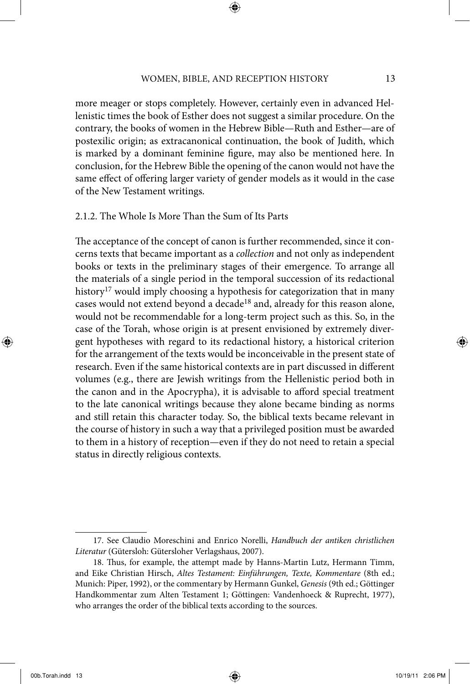more meager or stops completely. However, certainly even in advanced Hellenistic times the book of Esther does not suggest a similar procedure. On the contrary, the books of women in the Hebrew Bible—Ruth and Esther—are of postexilic origin; as extracanonical continuation, the book of Judith, which is marked by a dominant feminine figure, may also be mentioned here. In conclusion, for the Hebrew Bible the opening of the canon would not have the same effect of offering larger variety of gender models as it would in the case of the New Testament writings.

# 2.1.2. The Whole Is More Than the Sum of Its Parts

The acceptance of the concept of canon is further recommended, since it concerns texts that became important as a *collection* and not only as independent books or texts in the preliminary stages of their emergence. To arrange all the materials of a single period in the temporal succession of its redactional history<sup>17</sup> would imply choosing a hypothesis for categorization that in many cases would not extend beyond a decade<sup>18</sup> and, already for this reason alone, would not be recommendable for a long-term project such as this. So, in the case of the Torah, whose origin is at present envisioned by extremely divergent hypotheses with regard to its redactional history, a historical criterion for the arrangement of the texts would be inconceivable in the present state of research. Even if the same historical contexts are in part discussed in different volumes (e.g., there are Jewish writings from the Hellenistic period both in the canon and in the Apocrypha), it is advisable to afford special treatment to the late canonical writings because they alone became binding as norms and still retain this character today. So, the biblical texts became relevant in the course of history in such a way that a privileged position must be awarded to them in a history of reception—even if they do not need to retain a special status in directly religious contexts.

00b.Torah.indd 13 10/19/11 2:06 PM 0/19/11 2:06 PM 0/19/11 2:06 PM 0/19/11 2:06 PM 0/19/11 2:06 PM 0/19/11 2:06 PM 0/19/11 2:06 PM 0/19/11 2:06 PM 0/19/11 2:06 PM 0/19/11 2:06 PM 0/19/11 2:06 PM 0/19/11 2:06 PM 0/19/11 2:0

<sup>17.</sup> See Claudio Moreschini and Enrico Norelli, *Handbuch der antiken christlichen Literatur* (Gütersloh: Gütersloher Verlagshaus, 2007).

<sup>18.</sup> Thus, for example, the attempt made by Hanns-Martin Lutz, Hermann Timm, and Eike Christian Hirsch, *Altes Testament: Einführungen, Texte, Kommentare* (8th ed.; Munich: Piper, 1992), or the commentary by Hermann Gunkel, *Genesis* (9th ed.; Göttinger Handkommentar zum Alten Testament 1; Göttingen: Vandenhoeck & Ruprecht, 1977), who arranges the order of the biblical texts according to the sources.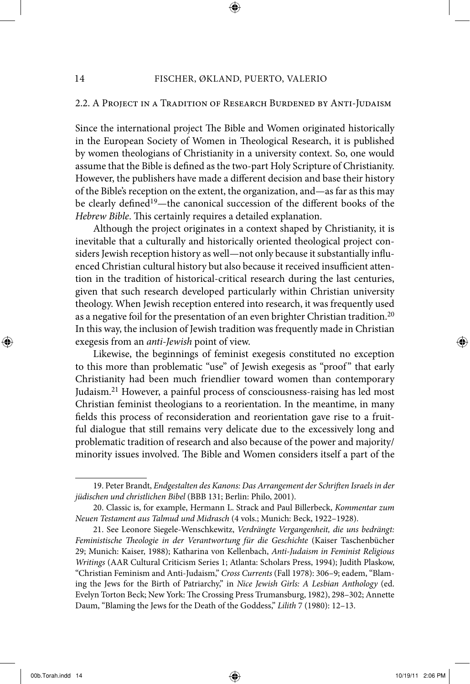## 2.2. A Project in a Tradition of Research Burdened by Anti-Judaism

Since the international project The Bible and Women originated historically in the European Society of Women in Theological Research, it is published by women theologians of Christianity in a university context. So, one would assume that the Bible is defined as the two-part Holy Scripture of Christianity. However, the publishers have made a different decision and base their history of the Bible's reception on the extent, the organization, and—as far as this may be clearly defined<sup>19</sup>—the canonical succession of the different books of the *Hebrew Bible*. This certainly requires a detailed explanation.

Although the project originates in a context shaped by Christianity, it is inevitable that a culturally and historically oriented theological project considers Jewish reception history as well—not only because it substantially influenced Christian cultural history but also because it received insufficient attention in the tradition of historical-critical research during the last centuries, given that such research developed particularly within Christian university theology. When Jewish reception entered into research, it was frequently used as a negative foil for the presentation of an even brighter Christian tradition.<sup>20</sup> In this way, the inclusion of Jewish tradition was frequently made in Christian exegesis from an *anti-Jewish* point of view.

Likewise, the beginnings of feminist exegesis constituted no exception to this more than problematic "use" of Jewish exegesis as "proof" that early Christianity had been much friendlier toward women than contemporary Judaism.21 However, a painful process of consciousness-raising has led most Christian feminist theologians to a reorientation. In the meantime, in many fields this process of reconsideration and reorientation gave rise to a fruitful dialogue that still remains very delicate due to the excessively long and problematic tradition of research and also because of the power and majority/ minority issues involved. The Bible and Women considers itself a part of the

⊕

<sup>19.</sup> Peter Brandt, *Endgestalten des Kanons: Das Arrangement der Schriften Israels in der jüdischen und christlichen Bibel* (BBB 131; Berlin: Philo, 2001).

<sup>20.</sup> Classic is, for example, Hermann L. Strack and Paul Billerbeck, *Kommentar zum Neuen Testament aus Talmud und Midrasch* (4 vols.; Munich: Beck, 1922–1928).

<sup>21.</sup> See Leonore Siegele-Wenschkewitz, *Verdrängte Vergangenheit, die uns bedrängt: Feministische Theologie in der Verantwortung für die Geschichte* (Kaiser Taschenbücher 29; Munich: Kaiser, 1988); Katharina von Kellenbach, *Anti-Judaism in Feminist Religious Writings* (AAR Cultural Criticism Series 1; Atlanta: Scholars Press, 1994); Judith Plaskow, "Christian Feminism and Anti-Judaism," *Cross Currents* (Fall 1978): 306–9; eadem, "Blaming the Jews for the Birth of Patriarchy," in *Nice Jewish Girls: A Lesbian Anthology* (ed. Evelyn Torton Beck; New York: The Crossing Press Trumansburg, 1982), 298–302; Annette Daum, "Blaming the Jews for the Death of the Goddess," *Lilith* 7 (1980): 12–13.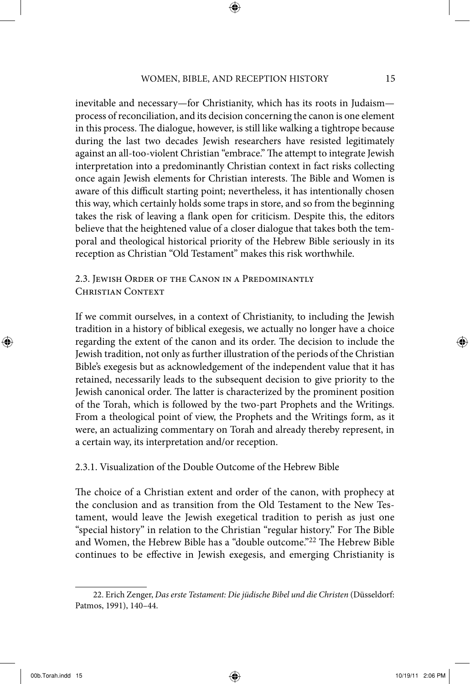⊕

inevitable and necessary—for Christianity, which has its roots in Judaism process of reconciliation, and its decision concerning the canon is one element in this process. The dialogue, however, is still like walking a tightrope because during the last two decades Jewish researchers have resisted legitimately against an all-too-violent Christian "embrace." The attempt to integrate Jewish interpretation into a predominantly Christian context in fact risks collecting once again Jewish elements for Christian interests. The Bible and Women is aware of this difficult starting point; nevertheless, it has intentionally chosen this way, which certainly holds some traps in store, and so from the beginning takes the risk of leaving a flank open for criticism. Despite this, the editors believe that the heightened value of a closer dialogue that takes both the temporal and theological historical priority of the Hebrew Bible seriously in its reception as Christian "Old Testament" makes this risk worthwhile.

2.3. Jewish Order of the Canon in a Predominantly Christian Context

If we commit ourselves, in a context of Christianity, to including the Jewish tradition in a history of biblical exegesis, we actually no longer have a choice regarding the extent of the canon and its order. The decision to include the Jewish tradition, not only as further illustration of the periods of the Christian Bible's exegesis but as acknowledgement of the independent value that it has retained, necessarily leads to the subsequent decision to give priority to the Jewish canonical order. The latter is characterized by the prominent position of the Torah, which is followed by the two-part Prophets and the Writings. From a theological point of view, the Prophets and the Writings form, as it were, an actualizing commentary on Torah and already thereby represent, in a certain way, its interpretation and/or reception.

2.3.1. Visualization of the Double Outcome of the Hebrew Bible

The choice of a Christian extent and order of the canon, with prophecy at the conclusion and as transition from the Old Testament to the New Testament, would leave the Jewish exegetical tradition to perish as just one "special history" in relation to the Christian "regular history." For The Bible and Women, the Hebrew Bible has a "double outcome."22 The Hebrew Bible continues to be effective in Jewish exegesis, and emerging Christianity is

<sup>22.</sup> Erich Zenger, *Das erste Testament: Die jüdische Bibel und die Christen* (Düsseldorf: Patmos, 1991), 140–44.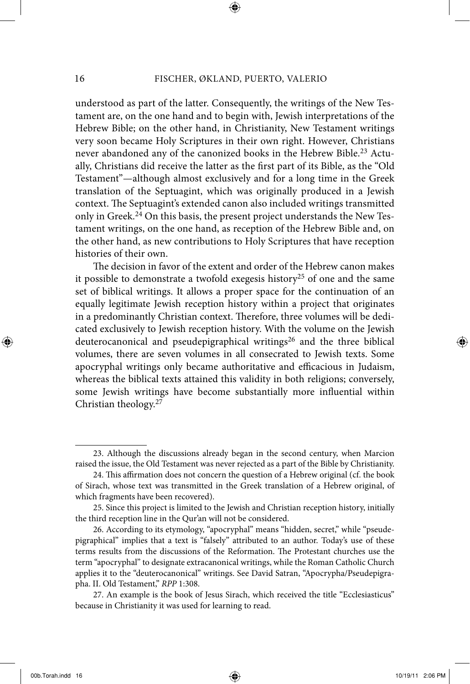understood as part of the latter. Consequently, the writings of the New Testament are, on the one hand and to begin with, Jewish interpretations of the Hebrew Bible; on the other hand, in Christianity, New Testament writings very soon became Holy Scriptures in their own right. However, Christians never abandoned any of the canonized books in the Hebrew Bible.<sup>23</sup> Actually, Christians did receive the latter as the first part of its Bible, as the "Old Testament"—although almost exclusively and for a long time in the Greek translation of the Septuagint, which was originally produced in a Jewish context. The Septuagint's extended canon also included writings transmitted only in Greek.<sup>24</sup> On this basis, the present project understands the New Testament writings, on the one hand, as reception of the Hebrew Bible and, on the other hand, as new contributions to Holy Scriptures that have reception histories of their own.

The decision in favor of the extent and order of the Hebrew canon makes it possible to demonstrate a twofold exegesis history<sup>25</sup> of one and the same set of biblical writings. It allows a proper space for the continuation of an equally legitimate Jewish reception history within a project that originates in a predominantly Christian context. Therefore, three volumes will be dedicated exclusively to Jewish reception history. With the volume on the Jewish deuterocanonical and pseudepigraphical writings<sup>26</sup> and the three biblical volumes, there are seven volumes in all consecrated to Jewish texts. Some apocryphal writings only became authoritative and efficacious in Judaism, whereas the biblical texts attained this validity in both religions; conversely, some Jewish writings have become substantially more influential within Christian theology.27

<sup>23.</sup> Although the discussions already began in the second century, when Marcion raised the issue, the Old Testament was never rejected as a part of the Bible by Christianity.

<sup>24.</sup> This affirmation does not concern the question of a Hebrew original (cf. the book of Sirach, whose text was transmitted in the Greek translation of a Hebrew original, of which fragments have been recovered).

<sup>25.</sup> Since this project is limited to the Jewish and Christian reception history, initially the third reception line in the Qur'an will not be considered.

<sup>26.</sup> According to its etymology, "apocryphal" means "hidden, secret," while "pseudepigraphical" implies that a text is "falsely" attributed to an author. Today's use of these terms results from the discussions of the Reformation. The Protestant churches use the term "apocryphal" to designate extracanonical writings, while the Roman Catholic Church applies it to the "deuterocanonical" writings. See David Satran, "Apocrypha/Pseudepigrapha. II. Old Testament," *RPP* 1:308.

<sup>27.</sup> An example is the book of Jesus Sirach, which received the title "Ecclesiasticus" because in Christianity it was used for learning to read.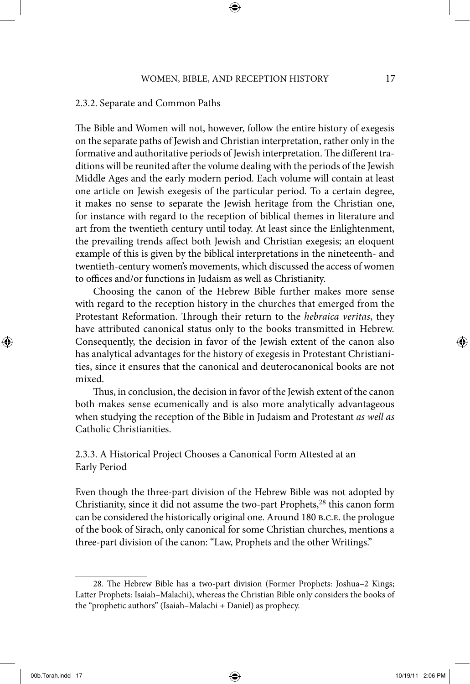⊕

#### 2.3.2. Separate and Common Paths

The Bible and Women will not, however, follow the entire history of exegesis on the separate paths of Jewish and Christian interpretation, rather only in the formative and authoritative periods of Jewish interpretation. The different traditions will be reunited after the volume dealing with the periods of the Jewish Middle Ages and the early modern period. Each volume will contain at least one article on Jewish exegesis of the particular period. To a certain degree, it makes no sense to separate the Jewish heritage from the Christian one, for instance with regard to the reception of biblical themes in literature and art from the twentieth century until today. At least since the Enlightenment, the prevailing trends affect both Jewish and Christian exegesis; an eloquent example of this is given by the biblical interpretations in the nineteenth- and twentieth-century women's movements, which discussed the access of women to offices and/or functions in Judaism as well as Christianity.

Choosing the canon of the Hebrew Bible further makes more sense with regard to the reception history in the churches that emerged from the Protestant Reformation. Through their return to the *hebraica veritas*, they have attributed canonical status only to the books transmitted in Hebrew. Consequently, the decision in favor of the Jewish extent of the canon also has analytical advantages for the history of exegesis in Protestant Christianities, since it ensures that the canonical and deuterocanonical books are not mixed.

Thus, in conclusion, the decision in favor of the Jewish extent of the canon both makes sense ecumenically and is also more analytically advantageous when studying the reception of the Bible in Judaism and Protestant *as well as*  Catholic Christianities.

# 2.3.3. A Historical Project Chooses a Canonical Form Attested at an Early Period

Even though the three-part division of the Hebrew Bible was not adopted by Christianity, since it did not assume the two-part Prophets,<sup>28</sup> this canon form can be considered the historically original one. Around 180 b.c.e. the prologue of the book of Sirach, only canonical for some Christian churches, mentions a three-part division of the canon: "Law, Prophets and the other Writings."

⊕

<sup>28.</sup> The Hebrew Bible has a two-part division (Former Prophets: Joshua–2 Kings; Latter Prophets: Isaiah–Malachi), whereas the Christian Bible only considers the books of the "prophetic authors" (Isaiah–Malachi + Daniel) as prophecy.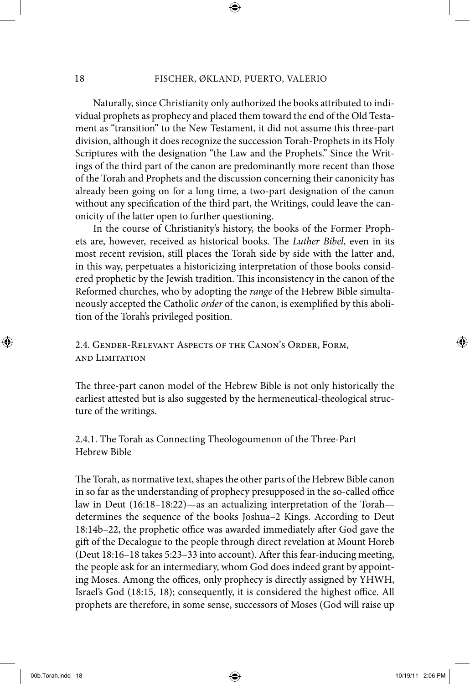⊕

Naturally, since Christianity only authorized the books attributed to individual prophets as prophecy and placed them toward the end of the Old Testament as "transition" to the New Testament, it did not assume this three-part division, although it does recognize the succession Torah-Prophets in its Holy Scriptures with the designation "the Law and the Prophets." Since the Writings of the third part of the canon are predominantly more recent than those of the Torah and Prophets and the discussion concerning their canonicity has already been going on for a long time, a two-part designation of the canon without any specification of the third part, the Writings, could leave the canonicity of the latter open to further questioning.

In the course of Christianity's history, the books of the Former Prophets are, however, received as historical books. The *Luther Bibel*, even in its most recent revision, still places the Torah side by side with the latter and, in this way, perpetuates a historicizing interpretation of those books considered prophetic by the Jewish tradition. This inconsistency in the canon of the Reformed churches, who by adopting the *range* of the Hebrew Bible simultaneously accepted the Catholic *order* of the canon, is exemplified by this abolition of the Torah's privileged position.

2.4. Gender-Relevant Aspects of the Canon's Order, Form, and Limitation

The three-part canon model of the Hebrew Bible is not only historically the earliest attested but is also suggested by the hermeneutical-theological structure of the writings.

2.4.1. The Torah as Connecting Theologoumenon of the Three-Part Hebrew Bible

The Torah, as normative text, shapes the other parts of the Hebrew Bible canon in so far as the understanding of prophecy presupposed in the so-called office law in Deut (16:18–18:22)—as an actualizing interpretation of the Torah determines the sequence of the books Joshua–2 Kings. According to Deut 18:14b–22, the prophetic office was awarded immediately after God gave the gift of the Decalogue to the people through direct revelation at Mount Horeb (Deut 18:16–18 takes 5:23–33 into account). After this fear-inducing meeting, the people ask for an intermediary, whom God does indeed grant by appointing Moses. Among the offices, only prophecy is directly assigned by YHWH, Israel's God (18:15, 18); consequently, it is considered the highest office. All prophets are therefore, in some sense, successors of Moses (God will raise up

⊕

↔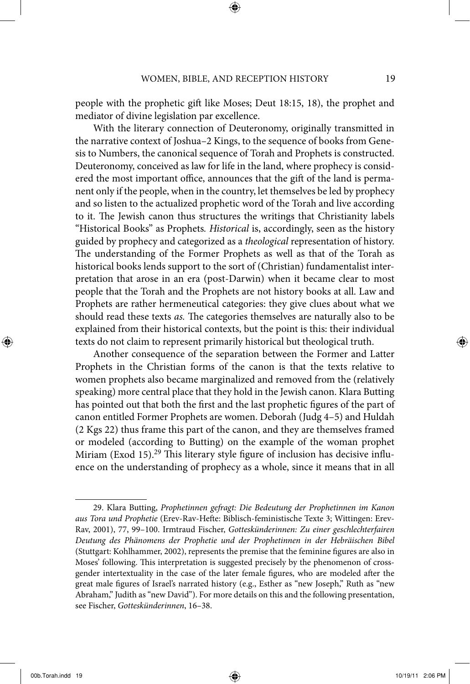⊕

people with the prophetic gift like Moses; Deut 18:15, 18), the prophet and mediator of divine legislation par excellence.

With the literary connection of Deuteronomy, originally transmitted in the narrative context of Joshua–2 Kings, to the sequence of books from Genesis to Numbers, the canonical sequence of Torah and Prophets is constructed. Deuteronomy, conceived as law for life in the land, where prophecy is considered the most important office, announces that the gift of the land is permanent only if the people, when in the country, let themselves be led by prophecy and so listen to the actualized prophetic word of the Torah and live according to it. The Jewish canon thus structures the writings that Christianity labels "Historical Books" as Prophets*. Historical* is, accordingly, seen as the history guided by prophecy and categorized as a *theological* representation of history. The understanding of the Former Prophets as well as that of the Torah as historical books lends support to the sort of (Christian) fundamentalist interpretation that arose in an era (post-Darwin) when it became clear to most people that the Torah and the Prophets are not history books at all. Law and Prophets are rather hermeneutical categories: they give clues about what we should read these texts *as.* The categories themselves are naturally also to be explained from their historical contexts, but the point is this: their individual texts do not claim to represent primarily historical but theological truth.

Another consequence of the separation between the Former and Latter Prophets in the Christian forms of the canon is that the texts relative to women prophets also became marginalized and removed from the (relatively speaking) more central place that they hold in the Jewish canon. Klara Butting has pointed out that both the first and the last prophetic figures of the part of canon entitled Former Prophets are women. Deborah (Judg 4–5) and Huldah (2 Kgs 22) thus frame this part of the canon, and they are themselves framed or modeled (according to Butting) on the example of the woman prophet Miriam (Exod 15).<sup>29</sup> This literary style figure of inclusion has decisive influence on the understanding of prophecy as a whole, since it means that in all

⊕

<sup>29.</sup> Klara Butting, *Prophetinnen gefragt: Die Bedeutung der Prophetinnen im Kanon aus Tora und Prophetie* (Erev-Rav-Hefte: Biblisch-feministische Texte 3; Wittingen: Erev-Rav, 2001), 77, 99–100. Irmtraud Fischer, *Gotteskünderinnen: Zu einer geschlechterfairen Deutung des Phänomens der Prophetie und der Prophetinnen in der Hebräischen Bibel* (Stuttgart: Kohlhammer, 2002), represents the premise that the feminine figures are also in Moses' following. This interpretation is suggested precisely by the phenomenon of crossgender intertextuality in the case of the later female figures, who are modeled after the great male figures of Israel's narrated history (e.g., Esther as "new Joseph," Ruth as "new Abraham," Judith as "new David"). For more details on this and the following presentation, see Fischer, *Gotteskünderinnen*, 16–38.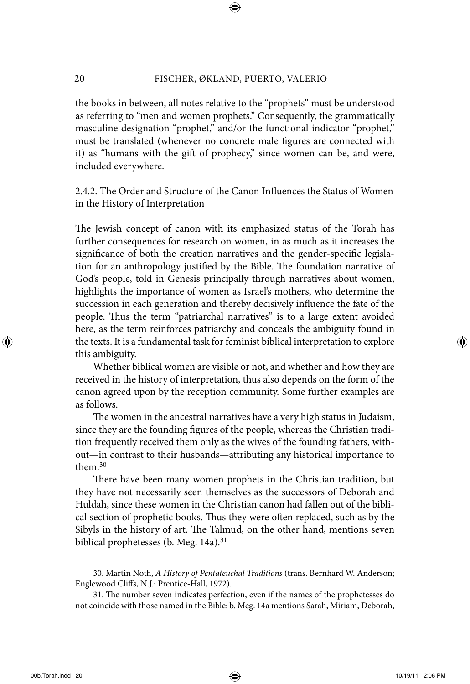the books in between, all notes relative to the "prophets" must be understood as referring to "men and women prophets." Consequently, the grammatically masculine designation "prophet," and/or the functional indicator "prophet," must be translated (whenever no concrete male figures are connected with it) as "humans with the gift of prophecy," since women can be, and were, included everywhere.

⊕

2.4.2. The Order and Structure of the Canon Influences the Status of Women in the History of Interpretation

The Jewish concept of canon with its emphasized status of the Torah has further consequences for research on women, in as much as it increases the significance of both the creation narratives and the gender-specific legislation for an anthropology justified by the Bible. The foundation narrative of God's people, told in Genesis principally through narratives about women, highlights the importance of women as Israel's mothers, who determine the succession in each generation and thereby decisively influence the fate of the people. Thus the term "patriarchal narratives" is to a large extent avoided here, as the term reinforces patriarchy and conceals the ambiguity found in the texts. It is a fundamental task for feminist biblical interpretation to explore this ambiguity.

Whether biblical women are visible or not, and whether and how they are received in the history of interpretation, thus also depends on the form of the canon agreed upon by the reception community. Some further examples are as follows.

The women in the ancestral narratives have a very high status in Judaism, since they are the founding figures of the people, whereas the Christian tradition frequently received them only as the wives of the founding fathers, without—in contrast to their husbands—attributing any historical importance to them.30

There have been many women prophets in the Christian tradition, but they have not necessarily seen themselves as the successors of Deborah and Huldah, since these women in the Christian canon had fallen out of the biblical section of prophetic books. Thus they were often replaced, such as by the Sibyls in the history of art. The Talmud, on the other hand, mentions seven biblical prophetesses (b. Meg. 14a).<sup>31</sup>

⊕

<sup>30.</sup> Martin Noth, *A History of Pentateuchal Traditions* (trans. Bernhard W. Anderson; Englewood Cliffs, N.J.: Prentice-Hall, 1972).

<sup>31.</sup> The number seven indicates perfection, even if the names of the prophetesses do not coincide with those named in the Bible: b. Meg. 14a mentions Sarah, Miriam, Deborah,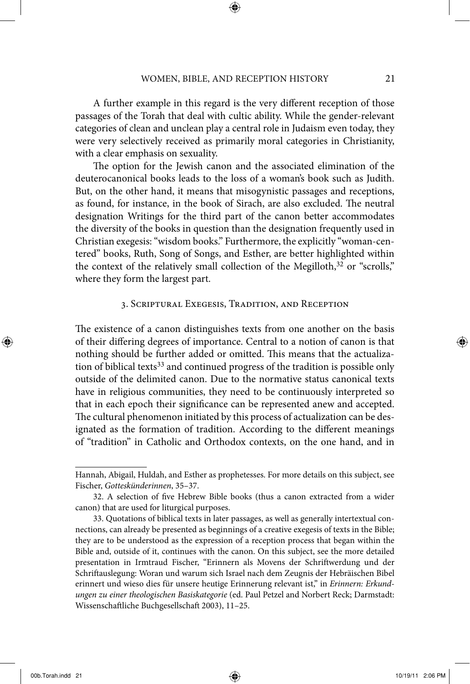A further example in this regard is the very different reception of those passages of the Torah that deal with cultic ability. While the gender-relevant categories of clean and unclean play a central role in Judaism even today, they were very selectively received as primarily moral categories in Christianity, with a clear emphasis on sexuality.

The option for the Jewish canon and the associated elimination of the deuterocanonical books leads to the loss of a woman's book such as Judith. But, on the other hand, it means that misogynistic passages and receptions, as found, for instance, in the book of Sirach, are also excluded. The neutral designation Writings for the third part of the canon better accommodates the diversity of the books in question than the designation frequently used in Christian exegesis: "wisdom books." Furthermore, the explicitly "woman-centered" books, Ruth, Song of Songs, and Esther, are better highlighted within the context of the relatively small collection of the Megilloth,<sup>32</sup> or "scrolls," where they form the largest part.

# 3. Scriptural Exegesis, Tradition, and Reception

The existence of a canon distinguishes texts from one another on the basis of their differing degrees of importance. Central to a notion of canon is that nothing should be further added or omitted. This means that the actualization of biblical texts<sup>33</sup> and continued progress of the tradition is possible only outside of the delimited canon. Due to the normative status canonical texts have in religious communities, they need to be continuously interpreted so that in each epoch their significance can be represented anew and accepted. The cultural phenomenon initiated by this process of actualization can be designated as the formation of tradition. According to the different meanings of "tradition" in Catholic and Orthodox contexts, on the one hand, and in

Hannah, Abigail, Huldah, and Esther as prophetesses. For more details on this subject, see Fischer, *Gotteskünderinnen*, 35–37.

<sup>32.</sup> A selection of five Hebrew Bible books (thus a canon extracted from a wider canon) that are used for liturgical purposes.

<sup>33.</sup> Quotations of biblical texts in later passages, as well as generally intertextual connections, can already be presented as beginnings of a creative exegesis of texts in the Bible; they are to be understood as the expression of a reception process that began within the Bible and, outside of it, continues with the canon. On this subject, see the more detailed presentation in Irmtraud Fischer, "Erinnern als Movens der Schriftwerdung und der Schriftauslegung: Woran und warum sich Israel nach dem Zeugnis der Hebräischen Bibel erinnert und wieso dies für unsere heutige Erinnerung relevant ist," in *Erinnern: Erkundungen zu einer theologischen Basiskategorie* (ed. Paul Petzel and Norbert Reck; Darmstadt: Wissenschaftliche Buchgesellschaft 2003), 11–25.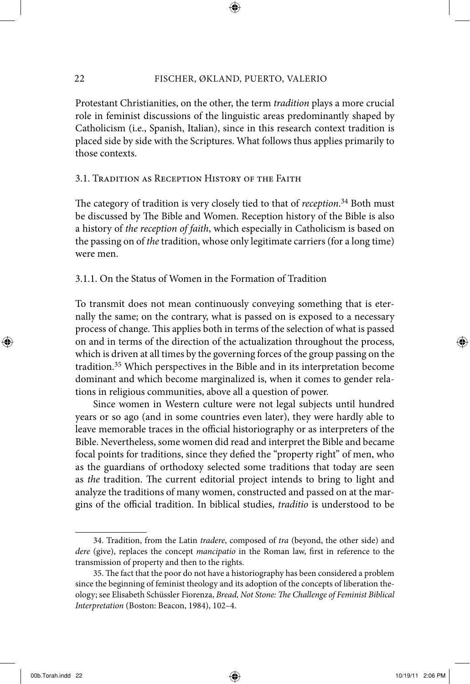Protestant Christianities, on the other, the term *tradition* plays a more crucial role in feminist discussions of the linguistic areas predominantly shaped by Catholicism (i.e., Spanish, Italian), since in this research context tradition is placed side by side with the Scriptures. What follows thus applies primarily to those contexts.

# 3.1. Tradition as Reception History of the Faith

The category of tradition is very closely tied to that of *reception*. 34 Both must be discussed by The Bible and Women. Reception history of the Bible is also a history of *the reception of faith*, which especially in Catholicism is based on the passing on of *the* tradition, whose only legitimate carriers (for a long time) were men.

3.1.1. On the Status of Women in the Formation of Tradition

To transmit does not mean continuously conveying something that is eternally the same; on the contrary, what is passed on is exposed to a necessary process of change. This applies both in terms of the selection of what is passed on and in terms of the direction of the actualization throughout the process, which is driven at all times by the governing forces of the group passing on the tradition.35 Which perspectives in the Bible and in its interpretation become dominant and which become marginalized is, when it comes to gender relations in religious communities, above all a question of power.

Since women in Western culture were not legal subjects until hundred years or so ago (and in some countries even later), they were hardly able to leave memorable traces in the official historiography or as interpreters of the Bible. Nevertheless, some women did read and interpret the Bible and became focal points for traditions, since they defied the "property right" of men, who as the guardians of orthodoxy selected some traditions that today are seen as *the* tradition. The current editorial project intends to bring to light and analyze the traditions of many women, constructed and passed on at the margins of the official tradition. In biblical studies, *traditio* is understood to be

⊕

<sup>34.</sup> Tradition, from the Latin *tradere*, composed of *tra* (beyond, the other side) and *dere* (give), replaces the concept *mancipatio* in the Roman law, first in reference to the transmission of property and then to the rights.

<sup>35.</sup> The fact that the poor do not have a historiography has been considered a problem since the beginning of feminist theology and its adoption of the concepts of liberation theology; see Elisabeth Schüssler Fiorenza, *Bread, Not Stone: The Challenge of Feminist Biblical Interpretation* (Boston: Beacon, 1984), 102–4.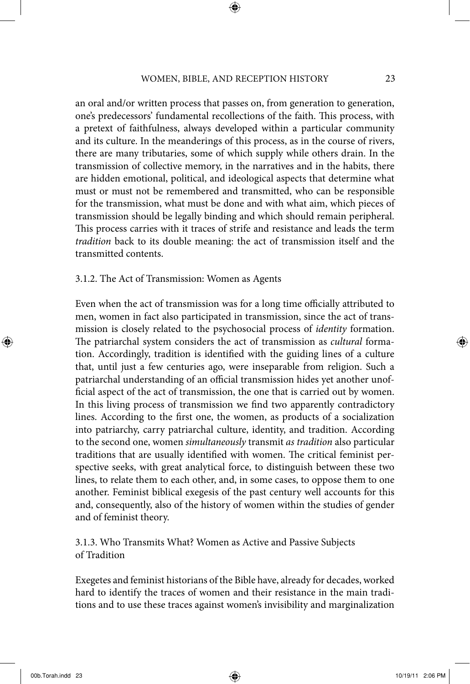⊕

an oral and/or written process that passes on, from generation to generation, one's predecessors' fundamental recollections of the faith. This process, with a pretext of faithfulness, always developed within a particular community and its culture. In the meanderings of this process, as in the course of rivers, there are many tributaries, some of which supply while others drain. In the transmission of collective memory, in the narratives and in the habits, there are hidden emotional, political, and ideological aspects that determine what must or must not be remembered and transmitted, who can be responsible for the transmission, what must be done and with what aim, which pieces of transmission should be legally binding and which should remain peripheral. This process carries with it traces of strife and resistance and leads the term *tradition* back to its double meaning: the act of transmission itself and the transmitted contents.

#### 3.1.2. The Act of Transmission: Women as Agents

Even when the act of transmission was for a long time officially attributed to men, women in fact also participated in transmission, since the act of transmission is closely related to the psychosocial process of *identity* formation. The patriarchal system considers the act of transmission as *cultural* formation. Accordingly, tradition is identified with the guiding lines of a culture that, until just a few centuries ago, were inseparable from religion. Such a patriarchal understanding of an official transmission hides yet another unofficial aspect of the act of transmission, the one that is carried out by women. In this living process of transmission we find two apparently contradictory lines. According to the first one, the women, as products of a socialization into patriarchy, carry patriarchal culture, identity, and tradition. According to the second one, women *simultaneously* transmit *as tradition* also particular traditions that are usually identified with women. The critical feminist perspective seeks, with great analytical force, to distinguish between these two lines, to relate them to each other, and, in some cases, to oppose them to one another. Feminist biblical exegesis of the past century well accounts for this and, consequently, also of the history of women within the studies of gender and of feminist theory.

3.1.3. Who Transmits What? Women as Active and Passive Subjects of Tradition

Exegetes and feminist historians of the Bible have, already for decades, worked hard to identify the traces of women and their resistance in the main traditions and to use these traces against women's invisibility and marginalization

⊕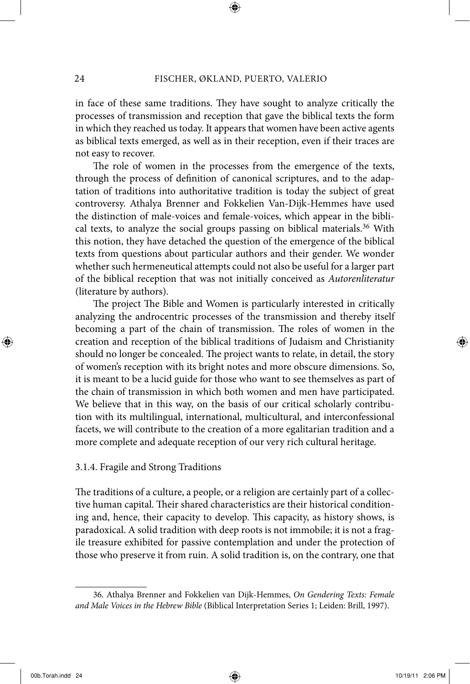⊕

in face of these same traditions. They have sought to analyze critically the processes of transmission and reception that gave the biblical texts the form in which they reached us today. It appears that women have been active agents as biblical texts emerged, as well as in their reception, even if their traces are not easy to recover.

The role of women in the processes from the emergence of the texts, through the process of definition of canonical scriptures, and to the adaptation of traditions into authoritative tradition is today the subject of great controversy. Athalya Brenner and Fokkelien Van-Dijk-Hemmes have used the distinction of male-voices and female-voices, which appear in the biblical texts, to analyze the social groups passing on biblical materials.36 With this notion, they have detached the question of the emergence of the biblical texts from questions about particular authors and their gender. We wonder whether such hermeneutical attempts could not also be useful for a larger part of the biblical reception that was not initially conceived as *Autorenliteratur* (literature by authors).

The project The Bible and Women is particularly interested in critically analyzing the androcentric processes of the transmission and thereby itself becoming a part of the chain of transmission. The roles of women in the creation and reception of the biblical traditions of Judaism and Christianity should no longer be concealed. The project wants to relate, in detail, the story of women's reception with its bright notes and more obscure dimensions. So, it is meant to be a lucid guide for those who want to see themselves as part of the chain of transmission in which both women and men have participated. We believe that in this way, on the basis of our critical scholarly contribution with its multilingual, international, multicultural, and interconfessional facets, we will contribute to the creation of a more egalitarian tradition and a more complete and adequate reception of our very rich cultural heritage.

#### 3.1.4. Fragile and Strong Traditions

The traditions of a culture, a people, or a religion are certainly part of a collective human capital. Their shared characteristics are their historical conditioning and, hence, their capacity to develop. This capacity, as history shows, is paradoxical. A solid tradition with deep roots is not immobile; it is not a fragile treasure exhibited for passive contemplation and under the protection of those who preserve it from ruin. A solid tradition is, on the contrary, one that

00b.Torah.indd 24 10/19/11 2:06 PM 0/19/11 2:06 PM 0/19/11 2:06 PM 0/19/11 2:06 PM 0/19/11 2:06 PM 0/19/11 2:06 PM 0/19/11 2:06 PM 0/19/11 2:06 PM 0/19/11 2:06 PM 0/19/11 2:06 PM 0/19/11 2:06 PM 0/19/11 2:06 PM 0/19/11 2:0

⊕

<sup>36.</sup> Athalya Brenner and Fokkelien van Dijk-Hemmes, *On Gendering Texts: Female and Male Voices in the Hebrew Bible* (Biblical Interpretation Series 1; Leiden: Brill, 1997).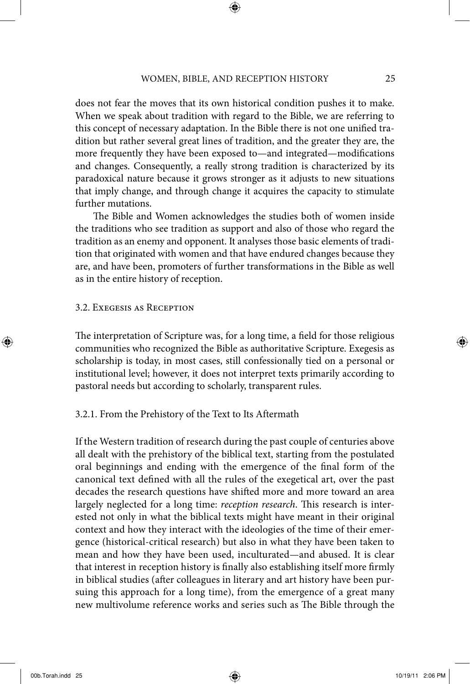⊕

does not fear the moves that its own historical condition pushes it to make. When we speak about tradition with regard to the Bible, we are referring to this concept of necessary adaptation. In the Bible there is not one unified tradition but rather several great lines of tradition, and the greater they are, the more frequently they have been exposed to—and integrated—modifications and changes. Consequently, a really strong tradition is characterized by its paradoxical nature because it grows stronger as it adjusts to new situations that imply change, and through change it acquires the capacity to stimulate further mutations.

The Bible and Women acknowledges the studies both of women inside the traditions who see tradition as support and also of those who regard the tradition as an enemy and opponent. It analyses those basic elements of tradition that originated with women and that have endured changes because they are, and have been, promoters of further transformations in the Bible as well as in the entire history of reception.

#### 3.2. Exegesis as Reception

The interpretation of Scripture was, for a long time, a field for those religious communities who recognized the Bible as authoritative Scripture. Exegesis as scholarship is today, in most cases, still confessionally tied on a personal or institutional level; however, it does not interpret texts primarily according to pastoral needs but according to scholarly, transparent rules.

## 3.2.1. From the Prehistory of the Text to Its Aftermath

If the Western tradition of research during the past couple of centuries above all dealt with the prehistory of the biblical text, starting from the postulated oral beginnings and ending with the emergence of the final form of the canonical text defined with all the rules of the exegetical art, over the past decades the research questions have shifted more and more toward an area largely neglected for a long time: *reception research*. This research is interested not only in what the biblical texts might have meant in their original context and how they interact with the ideologies of the time of their emergence (historical-critical research) but also in what they have been taken to mean and how they have been used, inculturated—and abused. It is clear that interest in reception history is finally also establishing itself more firmly in biblical studies (after colleagues in literary and art history have been pursuing this approach for a long time), from the emergence of a great many new multivolume reference works and series such as The Bible through the

⊕

↔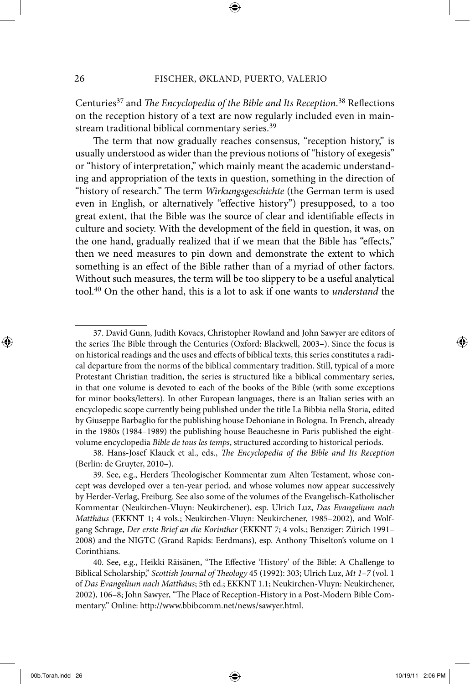Centuries<sup>37</sup> and *The Encyclopedia of the Bible and Its Reception*.<sup>38</sup> Reflections on the reception history of a text are now regularly included even in mainstream traditional biblical commentary series.39

The term that now gradually reaches consensus, "reception history," is usually understood as wider than the previous notions of "history of exegesis" or "history of interpretation," which mainly meant the academic understanding and appropriation of the texts in question, something in the direction of "history of research." The term *Wirkungsgeschichte* (the German term is used even in English, or alternatively "effective history") presupposed, to a too great extent, that the Bible was the source of clear and identifiable effects in culture and society. With the development of the field in question, it was, on the one hand, gradually realized that if we mean that the Bible has "effects," then we need measures to pin down and demonstrate the extent to which something is an effect of the Bible rather than of a myriad of other factors. Without such measures, the term will be too slippery to be a useful analytical tool.40 On the other hand, this is a lot to ask if one wants to *understand* the

39. See, e.g., Herders Theologischer Kommentar zum Alten Testament, whose concept was developed over a ten-year period, and whose volumes now appear successively by Herder-Verlag, Freiburg. See also some of the volumes of the Evangelisch-Katholischer Kommentar (Neukirchen-Vluyn: Neukirchener), esp. Ulrich Luz, *Das Evangelium nach Matthäus* (EKKNT 1; 4 vols.; Neukirchen-Vluyn: Neukirchener, 1985–2002), and Wolfgang Schrage, *Der erste Brief an die Korinther* (EKKNT 7; 4 vols.; Benziger: Zürich 1991– 2008) and the NIGTC (Grand Rapids: Eerdmans), esp. Anthony Thiselton's volume on 1 Corinthians.

40. See, e.g., Heikki Räisänen, "The Effective 'History' of the Bible: A Challenge to Biblical Scholarship," *Scottish Journal of Theology* 45 (1992): 303; Ulrich Luz, *Mt 1–7* (vol. 1 of *Das Evangelium nach Matthäus*; 5th ed.; EKKNT 1.1; Neukirchen-Vluyn: Neukirchener, 2002), 106–8; John Sawyer, "The Place of Reception-History in a Post-Modern Bible Commentary." Online: http://www.bbibcomm.net/news/sawyer.html.

<sup>37.</sup> David Gunn, Judith Kovacs, Christopher Rowland and John Sawyer are editors of the series The Bible through the Centuries (Oxford: Blackwell, 2003–). Since the focus is on historical readings and the uses and effects of biblical texts, this series constitutes a radical departure from the norms of the biblical commentary tradition. Still, typical of a more Protestant Christian tradition, the series is structured like a biblical commentary series, in that one volume is devoted to each of the books of the Bible (with some exceptions for minor books/letters). In other European languages, there is an Italian series with an encyclopedic scope currently being published under the title La Bibbia nella Storia, edited by Giuseppe Barbaglio for the publishing house Dehoniane in Bologna. In French, already in the 1980s (1984–1989) the publishing house Beauchesne in Paris published the eightvolume encyclopedia *Bible de tous les temps*, structured according to historical periods.

<sup>38.</sup> Hans-Josef Klauck et al., eds., *The Encyclopedia of the Bible and Its Reception*  (Berlin: de Gruyter, 2010–).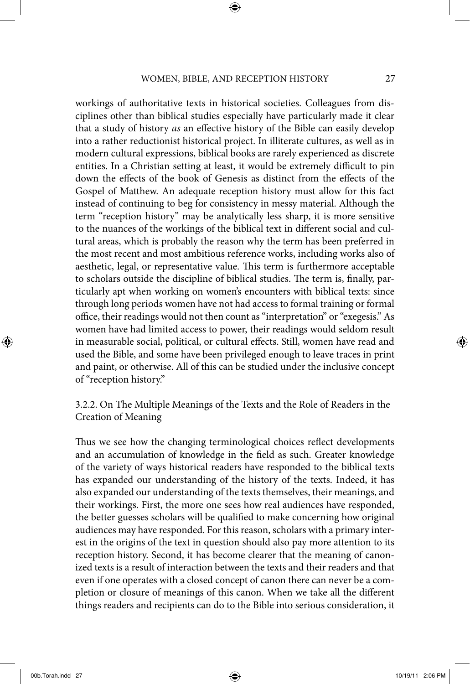⊕

workings of authoritative texts in historical societies. Colleagues from disciplines other than biblical studies especially have particularly made it clear that a study of history *as* an effective history of the Bible can easily develop into a rather reductionist historical project. In illiterate cultures, as well as in modern cultural expressions, biblical books are rarely experienced as discrete entities. In a Christian setting at least, it would be extremely difficult to pin down the effects of the book of Genesis as distinct from the effects of the Gospel of Matthew. An adequate reception history must allow for this fact instead of continuing to beg for consistency in messy material. Although the term "reception history" may be analytically less sharp, it is more sensitive to the nuances of the workings of the biblical text in different social and cultural areas, which is probably the reason why the term has been preferred in the most recent and most ambitious reference works, including works also of aesthetic, legal, or representative value. This term is furthermore acceptable to scholars outside the discipline of biblical studies. The term is, finally, particularly apt when working on women's encounters with biblical texts: since through long periods women have not had access to formal training or formal office, their readings would not then count as "interpretation" or "exegesis." As women have had limited access to power, their readings would seldom result in measurable social, political, or cultural effects. Still, women have read and used the Bible, and some have been privileged enough to leave traces in print and paint, or otherwise. All of this can be studied under the inclusive concept of "reception history."

3.2.2. On The Multiple Meanings of the Texts and the Role of Readers in the Creation of Meaning

Thus we see how the changing terminological choices reflect developments and an accumulation of knowledge in the field as such. Greater knowledge of the variety of ways historical readers have responded to the biblical texts has expanded our understanding of the history of the texts. Indeed, it has also expanded our understanding of the texts themselves, their meanings, and their workings. First, the more one sees how real audiences have responded, the better guesses scholars will be qualified to make concerning how original audiences may have responded. For this reason, scholars with a primary interest in the origins of the text in question should also pay more attention to its reception history. Second, it has become clearer that the meaning of canonized texts is a result of interaction between the texts and their readers and that even if one operates with a closed concept of canon there can never be a completion or closure of meanings of this canon. When we take all the different things readers and recipients can do to the Bible into serious consideration, it

⊕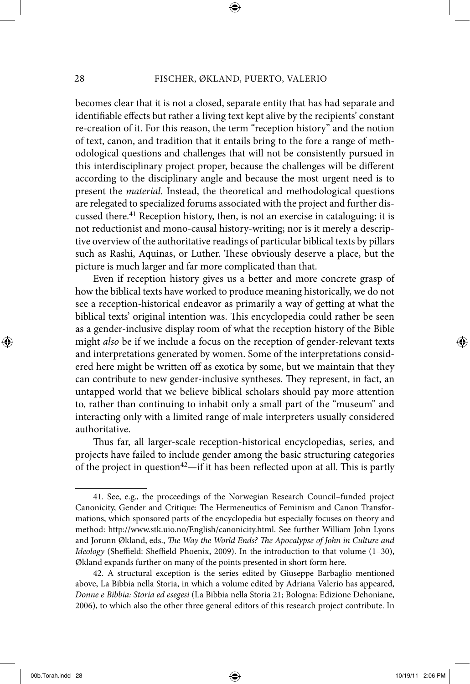becomes clear that it is not a closed, separate entity that has had separate and identifiable effects but rather a living text kept alive by the recipients' constant re-creation of it. For this reason, the term "reception history" and the notion of text, canon, and tradition that it entails bring to the fore a range of methodological questions and challenges that will not be consistently pursued in this interdisciplinary project proper, because the challenges will be different according to the disciplinary angle and because the most urgent need is to present the *material*. Instead, the theoretical and methodological questions are relegated to specialized forums associated with the project and further discussed there.<sup>41</sup> Reception history, then, is not an exercise in cataloguing; it is not reductionist and mono-causal history-writing; nor is it merely a descriptive overview of the authoritative readings of particular biblical texts by pillars such as Rashi, Aquinas, or Luther. These obviously deserve a place, but the picture is much larger and far more complicated than that.

Even if reception history gives us a better and more concrete grasp of how the biblical texts have worked to produce meaning historically, we do not see a reception-historical endeavor as primarily a way of getting at what the biblical texts' original intention was. This encyclopedia could rather be seen as a gender-inclusive display room of what the reception history of the Bible might *also* be if we include a focus on the reception of gender-relevant texts and interpretations generated by women. Some of the interpretations considered here might be written off as exotica by some, but we maintain that they can contribute to new gender-inclusive syntheses. They represent, in fact, an untapped world that we believe biblical scholars should pay more attention to, rather than continuing to inhabit only a small part of the "museum" and interacting only with a limited range of male interpreters usually considered authoritative.

Thus far, all larger-scale reception-historical encyclopedias, series, and projects have failed to include gender among the basic structuring categories of the project in question<sup>42</sup>—if it has been reflected upon at all. This is partly

00b.Torah.indd 28 10/19/11 2:06 PM 00b.Torah.indd 28 10/19/11 2:06 PM

<sup>41.</sup> See, e.g., the proceedings of the Norwegian Research Council–funded project Canonicity, Gender and Critique: The Hermeneutics of Feminism and Canon Transformations, which sponsored parts of the encyclopedia but especially focuses on theory and method: http://www.stk.uio.no/English/canonicity.html. See further William John Lyons and Jorunn Økland, eds., *The Way the World Ends? The Apocalypse of John in Culture and Ideology* (Sheffield: Sheffield Phoenix, 2009). In the introduction to that volume (1–30), Økland expands further on many of the points presented in short form here.

<sup>42.</sup> A structural exception is the series edited by Giuseppe Barbaglio mentioned above, La Bibbia nella Storia, in which a volume edited by Adriana Valerio has appeared, *Donne e Bibbia: Storia ed esegesi* (La Bibbia nella Storia 21; Bologna: Edizione Dehoniane, 2006), to which also the other three general editors of this research project contribute. In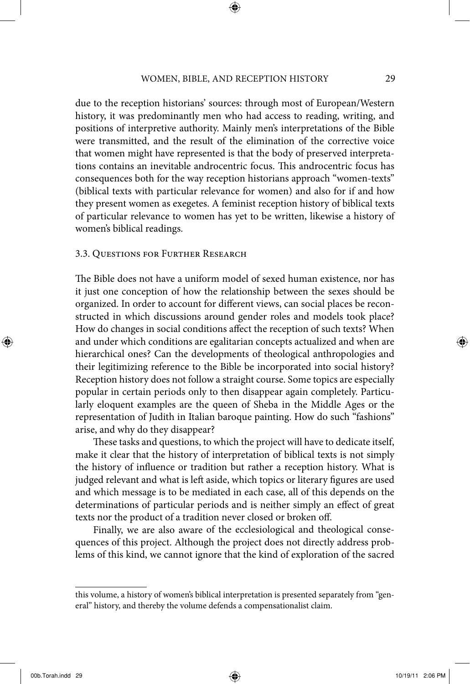due to the reception historians' sources: through most of European/Western history, it was predominantly men who had access to reading, writing, and positions of interpretive authority. Mainly men's interpretations of the Bible were transmitted, and the result of the elimination of the corrective voice that women might have represented is that the body of preserved interpretations contains an inevitable androcentric focus. This androcentric focus has consequences both for the way reception historians approach "women-texts" (biblical texts with particular relevance for women) and also for if and how they present women as exegetes. A feminist reception history of biblical texts of particular relevance to women has yet to be written, likewise a history of women's biblical readings.

#### 3.3. Questions for Further Research

The Bible does not have a uniform model of sexed human existence, nor has it just one conception of how the relationship between the sexes should be organized. In order to account for different views, can social places be reconstructed in which discussions around gender roles and models took place? How do changes in social conditions affect the reception of such texts? When and under which conditions are egalitarian concepts actualized and when are hierarchical ones? Can the developments of theological anthropologies and their legitimizing reference to the Bible be incorporated into social history? Reception history does not follow a straight course. Some topics are especially popular in certain periods only to then disappear again completely. Particularly eloquent examples are the queen of Sheba in the Middle Ages or the representation of Judith in Italian baroque painting. How do such "fashions" arise, and why do they disappear?

These tasks and questions, to which the project will have to dedicate itself, make it clear that the history of interpretation of biblical texts is not simply the history of influence or tradition but rather a reception history. What is judged relevant and what is left aside, which topics or literary figures are used and which message is to be mediated in each case, all of this depends on the determinations of particular periods and is neither simply an effect of great texts nor the product of a tradition never closed or broken off.

Finally, we are also aware of the ecclesiological and theological consequences of this project. Although the project does not directly address problems of this kind, we cannot ignore that the kind of exploration of the sacred

 $\bigoplus$ 

this volume, a history of women's biblical interpretation is presented separately from "general" history, and thereby the volume defends a compensationalist claim.